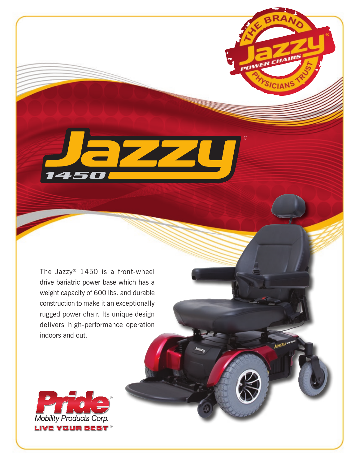The Jazzy® 1450 is a front-wheel drive bariatric power base which has a weight capacity of 600 lbs. and durable construction to make it an exceptionally rugged power chair. Its unique design delivers high-performance operation indoors and out.



**1450**

**OWER**